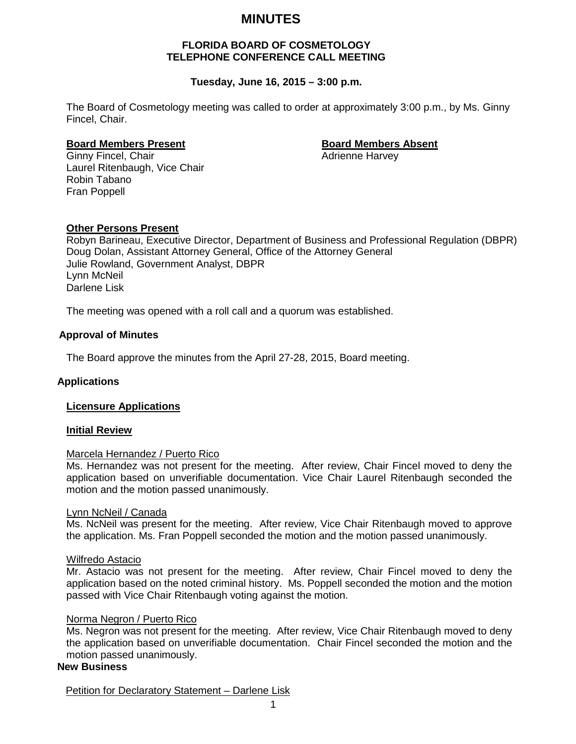# **MINUTES**

#### **FLORIDA BOARD OF COSMETOLOGY TELEPHONE CONFERENCE CALL MEETING**

# **Tuesday, June 16, 2015 – 3:00 p.m.**

The Board of Cosmetology meeting was called to order at approximately 3:00 p.m., by Ms. Ginny Fincel, Chair.

**Board Members Present**<br> **Board Members Absent**<br> **Board Members Absent**<br> **Adrienne Harvey** Ginny Fincel, Chair Laurel Ritenbaugh, Vice Chair Robin Tabano Fran Poppell

# **Other Persons Present**

Robyn Barineau, Executive Director, Department of Business and Professional Regulation (DBPR) Doug Dolan, Assistant Attorney General, Office of the Attorney General Julie Rowland, Government Analyst, DBPR Lynn McNeil Darlene Lisk

The meeting was opened with a roll call and a quorum was established.

### **Approval of Minutes**

The Board approve the minutes from the April 27-28, 2015, Board meeting.

#### **Applications**

#### **Licensure Applications**

#### **Initial Review**

#### Marcela Hernandez / Puerto Rico

Ms. Hernandez was not present for the meeting. After review, Chair Fincel moved to deny the application based on unverifiable documentation. Vice Chair Laurel Ritenbaugh seconded the motion and the motion passed unanimously.

#### Lynn NcNeil / Canada

Ms. NcNeil was present for the meeting. After review, Vice Chair Ritenbaugh moved to approve the application. Ms. Fran Poppell seconded the motion and the motion passed unanimously.

#### Wilfredo Astacio

Mr. Astacio was not present for the meeting. After review, Chair Fincel moved to deny the application based on the noted criminal history. Ms. Poppell seconded the motion and the motion passed with Vice Chair Ritenbaugh voting against the motion.

#### Norma Negron / Puerto Rico

Ms. Negron was not present for the meeting. After review, Vice Chair Ritenbaugh moved to deny the application based on unverifiable documentation. Chair Fincel seconded the motion and the motion passed unanimously.

# **New Business**

Petition for Declaratory Statement – Darlene Lisk